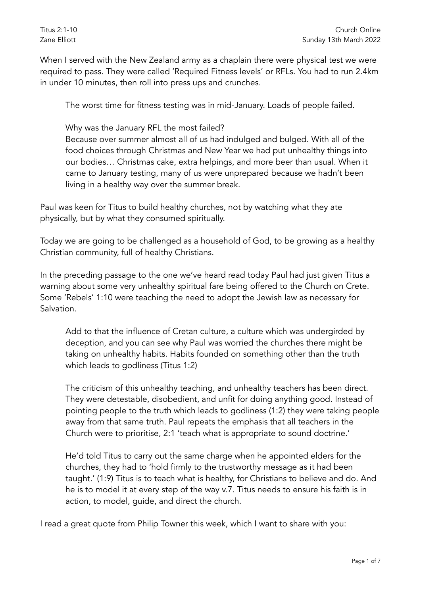When I served with the New Zealand army as a chaplain there were physical test we were required to pass. They were called 'Required Fitness levels' or RFLs. You had to run 2.4km in under 10 minutes, then roll into press ups and crunches.

The worst time for fitness testing was in mid-January. Loads of people failed.

Why was the January RFL the most failed?

Because over summer almost all of us had indulged and bulged. With all of the food choices through Christmas and New Year we had put unhealthy things into our bodies… Christmas cake, extra helpings, and more beer than usual. When it came to January testing, many of us were unprepared because we hadn't been living in a healthy way over the summer break.

Paul was keen for Titus to build healthy churches, not by watching what they ate physically, but by what they consumed spiritually.

Today we are going to be challenged as a household of God, to be growing as a healthy Christian community, full of healthy Christians.

In the preceding passage to the one we've heard read today Paul had just given Titus a warning about some very unhealthy spiritual fare being offered to the Church on Crete. Some 'Rebels' 1:10 were teaching the need to adopt the Jewish law as necessary for Salvation.

Add to that the influence of Cretan culture, a culture which was undergirded by deception, and you can see why Paul was worried the churches there might be taking on unhealthy habits. Habits founded on something other than the truth which leads to godliness (Titus 1:2)

The criticism of this unhealthy teaching, and unhealthy teachers has been direct. They were detestable, disobedient, and unfit for doing anything good. Instead of pointing people to the truth which leads to godliness (1:2) they were taking people away from that same truth. Paul repeats the emphasis that all teachers in the Church were to prioritise, 2:1 'teach what is appropriate to sound doctrine.'

He'd told Titus to carry out the same charge when he appointed elders for the churches, they had to 'hold firmly to the trustworthy message as it had been taught.' (1:9) Titus is to teach what is healthy, for Christians to believe and do. And he is to model it at every step of the way v.7. Titus needs to ensure his faith is in action, to model, guide, and direct the church.

I read a great quote from Philip Towner this week, which I want to share with you: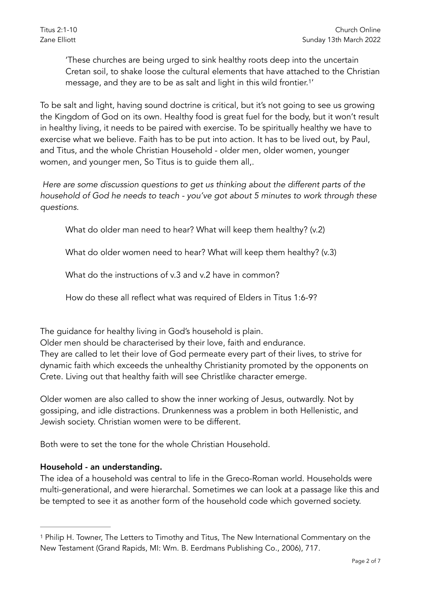<span id="page-1-1"></span>'These churches are being urged to sink healthy roots deep into the uncertain Cretan soil, to shake loose the cultural elements that have attached to the Christian message, and they are to be as salt and light in this wild frontier.<sup>[1](#page-1-0)'</sup>

To be salt and light, having sound doctrine is critical, but it's not going to see us growing the Kingdom of God on its own. Healthy food is great fuel for the body, but it won't result in healthy living, it needs to be paired with exercise. To be spiritually healthy we have to exercise what we believe. Faith has to be put into action. It has to be lived out, by Paul, and Titus, and the whole Christian Household - older men, older women, younger women, and younger men, So Titus is to guide them all,.

 *Here are some discussion questions to get us thinking about the different parts of the household of God he needs to teach - you've got about 5 minutes to work through these questions.*

What do older man need to hear? What will keep them healthy? (v.2)

What do older women need to hear? What will keep them healthy? (v.3)

What do the instructions of v.3 and v.2 have in common?

How do these all reflect what was required of Elders in Titus 1:6-9?

The guidance for healthy living in God's household is plain.

Older men should be characterised by their love, faith and endurance. They are called to let their love of God permeate every part of their lives, to strive for dynamic faith which exceeds the unhealthy Christianity promoted by the opponents on Crete. Living out that healthy faith will see Christlike character emerge.

Older women are also called to show the inner working of Jesus, outwardly. Not by gossiping, and idle distractions. Drunkenness was a problem in both Hellenistic, and Jewish society. Christian women were to be different.

Both were to set the tone for the whole Christian Household.

## Household - an understanding.

The idea of a household was central to life in the Greco-Roman world. Households were multi-generational, and were hierarchal. Sometimes we can look at a passage like this and be tempted to see it as another form of the household code which governed society.

<span id="page-1-0"></span><sup>&</sup>lt;sup>1</sup>Philip H. Towner, The Letters to Timothy and Titus, The New International Commentary on the New Testament (Grand Rapids, MI: Wm. B. Eerdmans Publishing Co., 2006), 717.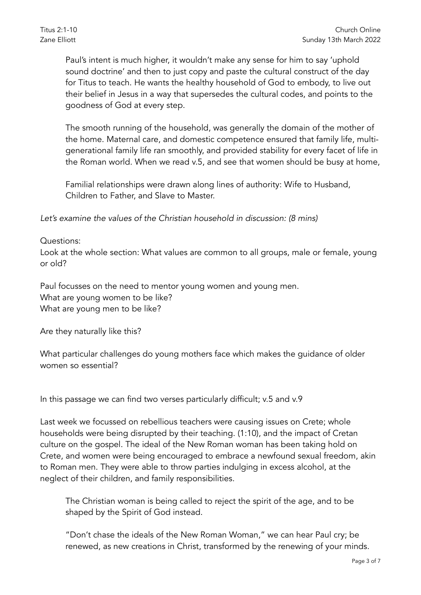Paul's intent is much higher, it wouldn't make any sense for him to say 'uphold sound doctrine' and then to just copy and paste the cultural construct of the day for Titus to teach. He wants the healthy household of God to embody, to live out their belief in Jesus in a way that supersedes the cultural codes, and points to the goodness of God at every step.

The smooth running of the household, was generally the domain of the mother of the home. Maternal care, and domestic competence ensured that family life, multigenerational family life ran smoothly, and provided stability for every facet of life in the Roman world. When we read v.5, and see that women should be busy at home,

Familial relationships were drawn along lines of authority: Wife to Husband, Children to Father, and Slave to Master.

*Let's examine the values of the Christian household in discussion: (8 mins)*

## Questions:

Look at the whole section: What values are common to all groups, male or female, young or old?

Paul focusses on the need to mentor young women and young men. What are young women to be like? What are young men to be like?

Are they naturally like this?

What particular challenges do young mothers face which makes the guidance of older women so essential?

In this passage we can find two verses particularly difficult; v.5 and v.9

Last week we focussed on rebellious teachers were causing issues on Crete; whole households were being disrupted by their teaching. (1:10), and the impact of Cretan culture on the gospel. The ideal of the New Roman woman has been taking hold on Crete, and women were being encouraged to embrace a newfound sexual freedom, akin to Roman men. They were able to throw parties indulging in excess alcohol, at the neglect of their children, and family responsibilities.

The Christian woman is being called to reject the spirit of the age, and to be shaped by the Spirit of God instead.

"Don't chase the ideals of the New Roman Woman," we can hear Paul cry; be renewed, as new creations in Christ, transformed by the renewing of your minds.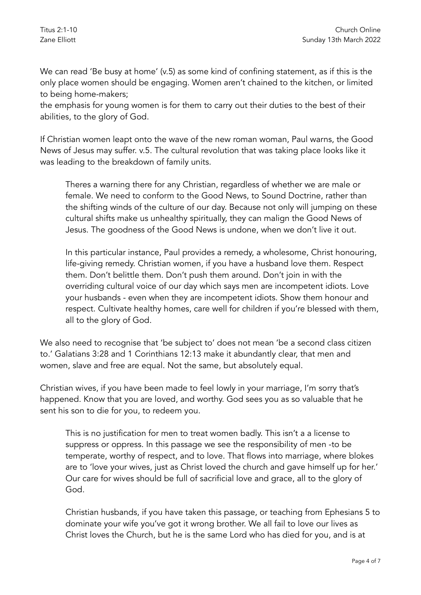We can read 'Be busy at home' (v.5) as some kind of confining statement, as if this is the only place women should be engaging. Women aren't chained to the kitchen, or limited to being home-makers;

the emphasis for young women is for them to carry out their duties to the best of their abilities, to the glory of God.

If Christian women leapt onto the wave of the new roman woman, Paul warns, the Good News of Jesus may suffer. v.5. The cultural revolution that was taking place looks like it was leading to the breakdown of family units.

Theres a warning there for any Christian, regardless of whether we are male or female. We need to conform to the Good News, to Sound Doctrine, rather than the shifting winds of the culture of our day. Because not only will jumping on these cultural shifts make us unhealthy spiritually, they can malign the Good News of Jesus. The goodness of the Good News is undone, when we don't live it out.

In this particular instance, Paul provides a remedy, a wholesome, Christ honouring, life-giving remedy. Christian women, if you have a husband love them. Respect them. Don't belittle them. Don't push them around. Don't join in with the overriding cultural voice of our day which says men are incompetent idiots. Love your husbands - even when they are incompetent idiots. Show them honour and respect. Cultivate healthy homes, care well for children if you're blessed with them, all to the glory of God.

We also need to recognise that 'be subject to' does not mean 'be a second class citizen to.' Galatians 3:28 and 1 Corinthians 12:13 make it abundantly clear, that men and women, slave and free are equal. Not the same, but absolutely equal.

Christian wives, if you have been made to feel lowly in your marriage, I'm sorry that's happened. Know that you are loved, and worthy. God sees you as so valuable that he sent his son to die for you, to redeem you.

This is no justification for men to treat women badly. This isn't a a license to suppress or oppress. In this passage we see the responsibility of men -to be temperate, worthy of respect, and to love. That flows into marriage, where blokes are to 'love your wives, just as Christ loved the church and gave himself up for her.' Our care for wives should be full of sacrificial love and grace, all to the glory of God.

Christian husbands, if you have taken this passage, or teaching from Ephesians 5 to dominate your wife you've got it wrong brother. We all fail to love our lives as Christ loves the Church, but he is the same Lord who has died for you, and is at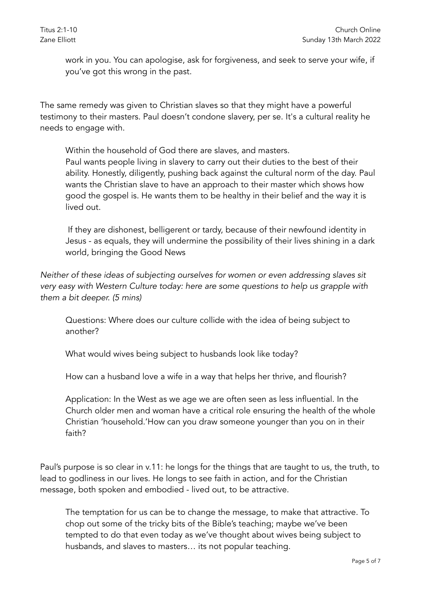work in you. You can apologise, ask for forgiveness, and seek to serve your wife, if you've got this wrong in the past.

The same remedy was given to Christian slaves so that they might have a powerful testimony to their masters. Paul doesn't condone slavery, per se. It's a cultural reality he needs to engage with.

Within the household of God there are slaves, and masters. Paul wants people living in slavery to carry out their duties to the best of their ability. Honestly, diligently, pushing back against the cultural norm of the day. Paul wants the Christian slave to have an approach to their master which shows how good the gospel is. He wants them to be healthy in their belief and the way it is lived out.

 If they are dishonest, belligerent or tardy, because of their newfound identity in Jesus - as equals, they will undermine the possibility of their lives shining in a dark world, bringing the Good News

*Neither of these ideas of subjecting ourselves for women or even addressing slaves sit very easy with Western Culture today: here are some questions to help us grapple with them a bit deeper. (5 mins)*

Questions: Where does our culture collide with the idea of being subject to another?

What would wives being subject to husbands look like today?

How can a husband love a wife in a way that helps her thrive, and flourish?

Application: In the West as we age we are often seen as less influential. In the Church older men and woman have a critical role ensuring the health of the whole Christian 'household.'How can you draw someone younger than you on in their faith?

Paul's purpose is so clear in v.11: he longs for the things that are taught to us, the truth, to lead to godliness in our lives. He longs to see faith in action, and for the Christian message, both spoken and embodied - lived out, to be attractive.

The temptation for us can be to change the message, to make that attractive. To chop out some of the tricky bits of the Bible's teaching; maybe we've been tempted to do that even today as we've thought about wives being subject to husbands, and slaves to masters… its not popular teaching.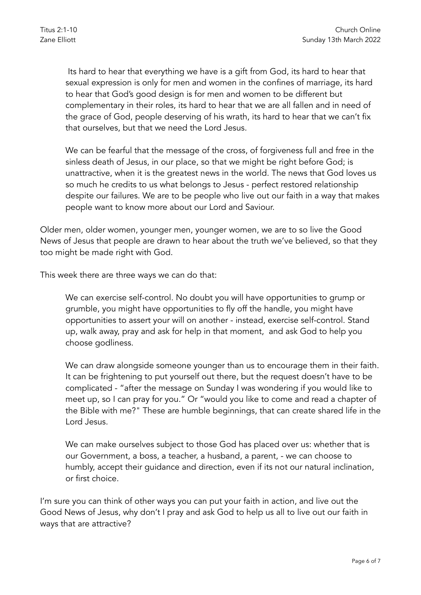Its hard to hear that everything we have is a gift from God, its hard to hear that sexual expression is only for men and women in the confines of marriage, its hard to hear that God's good design is for men and women to be different but complementary in their roles, its hard to hear that we are all fallen and in need of the grace of God, people deserving of his wrath, its hard to hear that we can't fix that ourselves, but that we need the Lord Jesus.

We can be fearful that the message of the cross, of forgiveness full and free in the sinless death of Jesus, in our place, so that we might be right before God; is unattractive, when it is the greatest news in the world. The news that God loves us so much he credits to us what belongs to Jesus - perfect restored relationship despite our failures. We are to be people who live out our faith in a way that makes people want to know more about our Lord and Saviour.

Older men, older women, younger men, younger women, we are to so live the Good News of Jesus that people are drawn to hear about the truth we've believed, so that they too might be made right with God.

This week there are three ways we can do that:

We can exercise self-control. No doubt you will have opportunities to grump or grumble, you might have opportunities to fly off the handle, you might have opportunities to assert your will on another - instead, exercise self-control. Stand up, walk away, pray and ask for help in that moment, and ask God to help you choose godliness.

We can draw alongside someone younger than us to encourage them in their faith. It can be frightening to put yourself out there, but the request doesn't have to be complicated - "after the message on Sunday I was wondering if you would like to meet up, so I can pray for you." Or "would you like to come and read a chapter of the Bible with me?" These are humble beginnings, that can create shared life in the Lord Jesus.

We can make ourselves subject to those God has placed over us: whether that is our Government, a boss, a teacher, a husband, a parent, - we can choose to humbly, accept their guidance and direction, even if its not our natural inclination, or first choice.

I'm sure you can think of other ways you can put your faith in action, and live out the Good News of Jesus, why don't I pray and ask God to help us all to live out our faith in ways that are attractive?